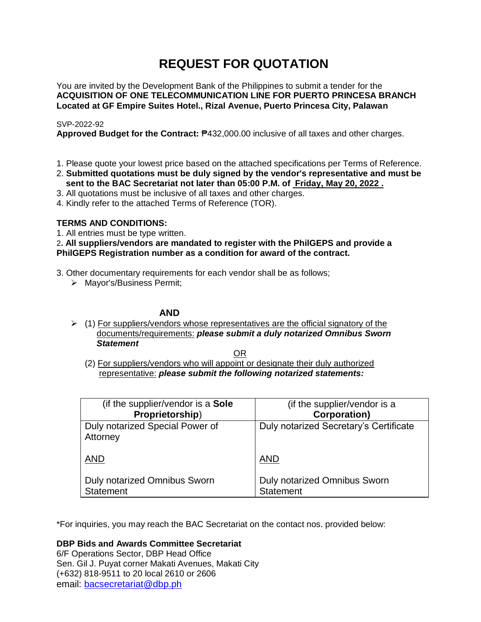# **REQUEST FOR QUOTATION**

You are invited by the Development Bank of the Philippines to submit a tender for the **ACQUISITION OF ONE TELECOMMUNICATION LINE FOR PUERTO PRINCESA BRANCH Located at GF Empire Suites Hotel., Rizal Avenue, Puerto Princesa City, Palawan**

# SVP-2022-92

**Approved Budget for the Contract:** ₱432,000.00 inclusive of all taxes and other charges.

- 1. Please quote your lowest price based on the attached specifications per Terms of Reference.
- 2. **Submitted quotations must be duly signed by the vendor's representative and must be sent to the BAC Secretariat not later than 05:00 P.M. of Friday, May 20, 2022 .**
- 3. All quotations must be inclusive of all taxes and other charges.
- 4. Kindly refer to the attached Terms of Reference (TOR).

# **TERMS AND CONDITIONS:**

1. All entries must be type written.

2**. All suppliers/vendors are mandated to register with the PhilGEPS and provide a PhilGEPS Registration number as a condition for award of the contract.**

- 3. Other documentary requirements for each vendor shall be as follows;
	- > Mayor's/Business Permit;

# **AND**

 $\geq$  (1) For suppliers/vendors whose representatives are the official signatory of the documents/requirements: *please submit a duly notarized Omnibus Sworn Statement*

<u>OR Starting and the Starting OR Starting</u>

(2) For suppliers/vendors who will appoint or designate their duly authorized representative: *please submit the following notarized statements:*

| (if the supplier/vendor is a Sole           | (if the supplier/vendor is a           |
|---------------------------------------------|----------------------------------------|
| Proprietorship)                             | <b>Corporation)</b>                    |
| Duly notarized Special Power of<br>Attorney | Duly notarized Secretary's Certificate |
| <b>AND</b>                                  | <b>AND</b>                             |
| Duly notarized Omnibus Sworn                | Duly notarized Omnibus Sworn           |
| <b>Statement</b>                            | <b>Statement</b>                       |

\*For inquiries, you may reach the BAC Secretariat on the contact nos. provided below:

**DBP Bids and Awards Committee Secretariat** 

6/F Operations Sector, DBP Head Office Sen. Gil J. Puyat corner Makati Avenues, Makati City (+632) 818-9511 to 20 local 2610 or 2606 email: [bacsecretariat@dbp.ph](mailto:bacsecretariat@dbp.ph)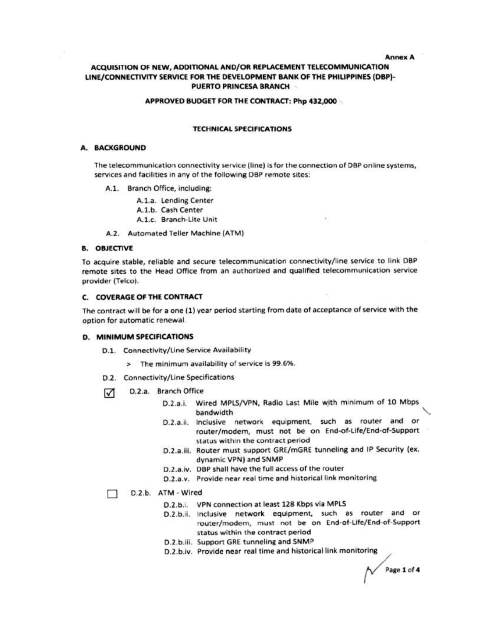**Annex A** 

# ACQUISITION OF NEW, ADDITIONAL AND/OR REPLACEMENT TELECOMMUNICATION LINE/CONNECTIVITY SERVICE FOR THE DEVELOPMENT BANK OF THE PHILIPPINES (DBP)-PUERTO PRINCESA BRANCH

#### APPROVED BUDGET FOR THE CONTRACT: Php 432,000

#### **TECHNICAL SPECIFICATIONS**

#### A. BACKGROUND

The telecommunication connectivity service (line) is for the connection of DBP online systems, services and facilities in any of the following DBP remote sites:

A.1. Branch Office, including:

A.1.a. Lending Center A.1.b. Cash Center A.1.c. Branch-Lite Unit

A.2. Automated Teller Machine (ATM)

#### **B. OBJECTIVE**

To acquire stable, reliable and secure telecommunication connectivity/line service to link DBP remote sites to the Head Office from an authorized and qualified telecommunication service provider (Telco).

### **C. COVERAGE OF THE CONTRACT**

The contract will be for a one (1) year period starting from date of acceptance of service with the option for automatic renewal.

#### **D. MINIMUM SPECIFICATIONS**

- D.1. Connectivity/Line Service Availability
	- > The minimum availability of service is 99.6%.
- D.2. Connectivity/Line Specifications
- D.2.a. Branch Office ☑
	- D.2.a.i. Wired MPLS/VPN, Radio Last Mile with minimum of 10 Mbps bandwidth
	- D.2.a.ii. Inclusive network equipment, such as router and or router/modern, must not be on End-of-Life/End-of-Support status within the contract period
	- D.2.a.iii. Router must support GRE/mGRE tunneling and IP Security (ex. dynamic VPN) and SNMP
	- D.2.a.iv. DBP shall have the full access of the router
	- D.2.a.v. Provide near real time and historical link monitoring

#### D.2.b. ATM - Wired п

- D.2.b.i. VPN connection at least 128 Kbps via MPLS
- D.2.b.ii. inclusive network equipment, such as router and or router/modem, must not be on End-of-Life/End-of-Support status within the contract period
- D.2.b.iii. Support GRE tunneling and SNMP
- D.2.b.iv. Provide near real time and historical link monitoring

Page 1 of 4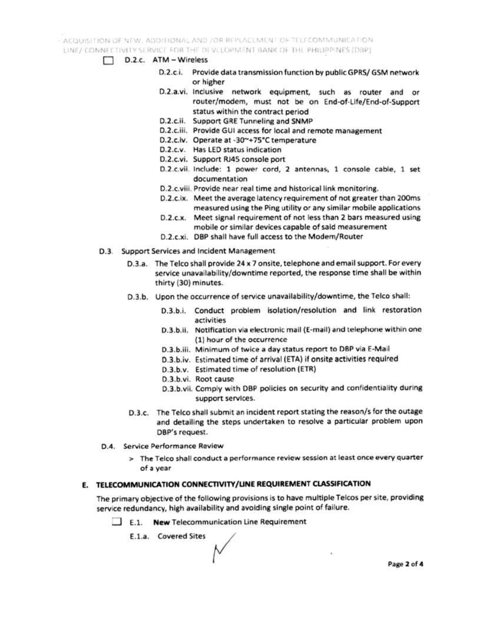ACQUISITION OF NEW, ADDITIONAL AND JOR REPLACEMENT OF TELECOMMUNICATION

LINE/ CONNECTIVITY SERVICE FOR THE DIVILLOPMENT BANK OF THE PHILIPPINES (DBP)

- D.2.c. ATM Wireless
	- D.2.c.i. Provide data transmission function by public GPRS/ GSM network or higher
	- D.2.a.vi. Inclusive network equipment, such as router and or router/modem, must not be on End-of-Life/End-of-Support status within the contract period
	- D.2.c.ii. Support GRE Tunneling and SNMP
	- D.2.c.iii. Provide GUI access for local and remote management
	- D.2.c.iv. Operate at -30~+75°C temperature
	- D.2.c.v. Has LED status indication
	- D.2.c.vi. Support RJ45 console port
	- D.2.c.vii. Include: 1 power cord, 2 antennas, 1 console cable, 1 set documentation
	- D.2.c.viii. Provide near real time and historical link monitoring.
	- D.2.c.ix. Meet the average latency requirement of not greater than 200ms measured using the Ping utility or any similar mobile applications
	- D.2.c.x. Meet signal requirement of not less than 2 bars measured using mobile or similar devices capable of said measurement
	- D.2.c.xi. DBP shall have full access to the Modem/Router
- D.3. Support Services and Incident Management
	- D.3.a. The Telco shall provide 24 x 7 onsite, telephone and email support. For every service unavailability/downtime reported, the response time shall be within thirty (30) minutes.
	- D.3.b. Upon the occurrence of service unavailability/downtime, the Telco shall:
		- D.3.b.i. Conduct problem isolation/resolution and link restoration activities
		- D.3.b.ii. Notification via electronic mail (E-mail) and telephone within one (1) hour of the occurrence
		- D.3.b.iii. Minimum of twice a day status report to DBP via E-Mail
		- D.3.b.iv. Estimated time of arrival (ETA) if onsite activities required
		- D.3.b.v. Estimated time of resolution (ETR)
		- D.3.b.vi. Root cause
		- D.3.b.vii. Comply with DBP policies on security and confidentiality during support services.
	- D.3.c. The Telco shall submit an incident report stating the reason/s for the outage and detailing the steps undertaken to resolve a particular problem upon DBP's request.
- D.4. Service Performance Review
	- > The Telco shall conduct a performance review session at least once every quarter of a year

#### E. TELECOMMUNICATION CONNECTIVITY/LINE REQUIREMENT CLASSIFICATION

The primary objective of the following provisions is to have multiple Telcos per site, providing service redundancy, high availability and avoiding single point of failure.

E.1. New Telecommunication Line Requirement

E.1.a. Covered Sites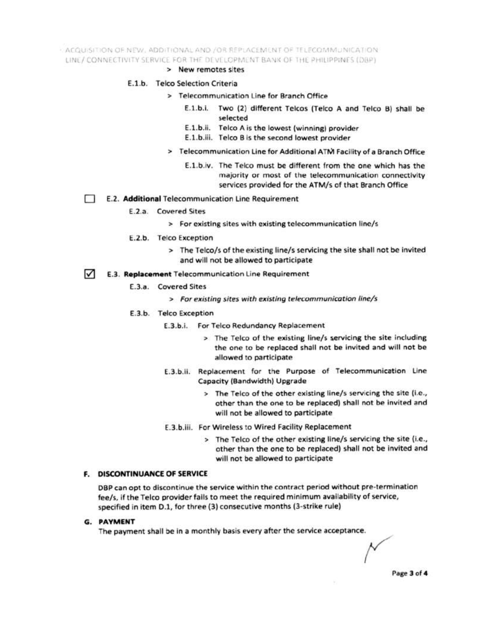- ACQUISITION OF NEW ADDITIONAL AND /OR REPLACEMENT OF TELECOMMUNICATION LINE/CONNECTIVITY SERVICE FOR THE DEVELOPMENT BANK OF THE PHILIPPINES (DBP)

> New remotes sites

### E.1.b. Telco Selection Criteria

- > Telecommunication Line for Branch Office
	- E.1.b.i. Two (2) different Telcos (Telco A and Telco B) shall be selected
	- E.1.b.ii. Telco A is the lowest (winning) provider
	- E.1.b.iii. Telco B is the second lowest provider
- > Telecommunication Line for Additional ATM Facility of a Branch Office
	- E.1.b.iv. The Telco must be different from the one which has the majority or most of the telecommunication connectivity services provided for the ATM/s of that Branch Office
- E.2. Additional Telecommunication Line Requirement
	- E.2.a. Covered Sites
		- > For existing sites with existing telecommunication line/s
	- E.2.b. Telco Exception
		- > The Telco/s of the existing line/s servicing the site shall not be invited and will not be allowed to participate
- M E.3. Replacement Telecommunication Line Requirement
	- E.3.a. Covered Sites
		- > For existing sites with existing telecommunication line/s
	- E.3.b. Telco Exception
		- E.3.b.i. For Telco Redundancy Replacement
			- > The Telco of the existing line/s servicing the site including the one to be replaced shall not be invited and will not be allowed to participate
		- E.3.b.ii. Replacement for the Purpose of Telecommunication Line Capacity (Bandwidth) Upgrade
			- > The Telco of the other existing line/s servicing the site (i.e., other than the one to be replaced) shall not be invited and will not be allowed to participate
		- E.3.b.iii. For Wireless to Wired Facility Replacement
			- > The Telco of the other existing line/s servicing the site (i.e., other than the one to be replaced) shall not be invited and will not be allowed to participate

# **F. DISCONTINUANCE OF SERVICE**

DBP can opt to discontinue the service within the contract period without pre-termination fee/s, if the Telco provider fails to meet the required minimum availability of service, specified in item D.1, for three (3) consecutive months (3-strike rule)

#### **G. PAYMENT**

The payment shall be in a monthly basis every after the service acceptance.

Page 3 of 4